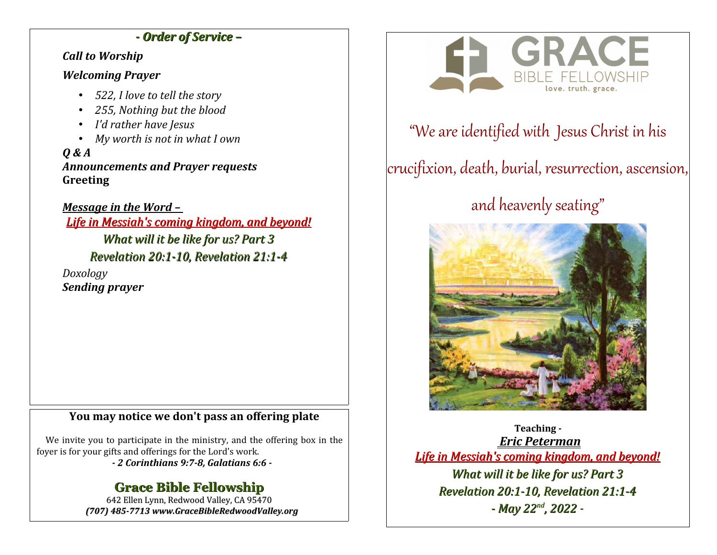### *- Order of Service –*

### *Call to Worship*

### *Welcoming Prayer*

- *522, I love to tell the story*
- *255, Nothing but the blood*
- *I'd rather have Jesus*
- *My worth is not in what I own*

*Q & A Announcements and Prayer requests* **Greeting**

*Message in the Word – Life in Messiah's coming kingdom, and beyond! What will it be like for us? Part 3 Revelation 20:1-10, Revelation 21:1-4 Doxology Sending prayer*

### **You may notice we don't pass an offering plate**

We invite you to participate in the ministry, and the offering box in the foyer is for your gifts and offerings for the Lord's work.

*- 2 Corinthians 9:7-8, Galatians 6:6 -*

## **Grace Bible Fellowship**

642 Ellen Lynn, Redwood Valley, CA 95470 *(707) 485-7713 www.GraceBibleRedwoodValley.org*



## "We are identified with Jesus Christ in his

# crucifixion, death, burial, resurrection, ascension,

# and heavenly seating"



**Teaching -**  *Eric Peterman Life in Messiah's coming kingdom, and beyond! What will it be like for us? Part 3 Revelation 20:1-10, Revelation 21:1-4 - May 22nd, 2022 -*